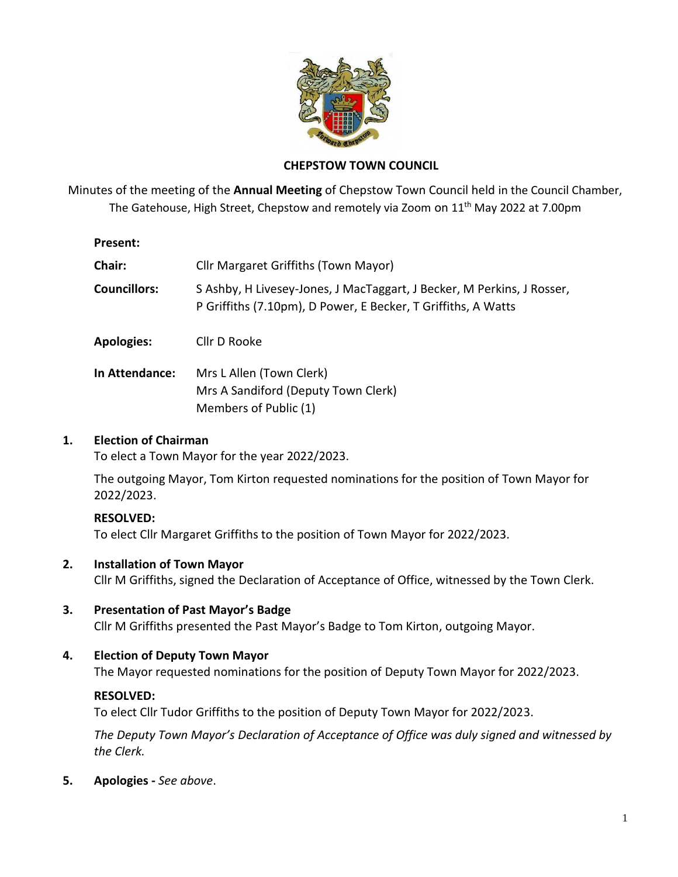

## **CHEPSTOW TOWN COUNCIL**

Minutes of the meeting of the **Annual Meeting** of Chepstow Town Council held in the Council Chamber, The Gatehouse, High Street, Chepstow and remotely via Zoom on 11<sup>th</sup> May 2022 at 7.00pm

#### **Present:**

| <b>Chair:</b>         | Cllr Margaret Griffiths (Town Mayor)                                                                                                    |
|-----------------------|-----------------------------------------------------------------------------------------------------------------------------------------|
| <b>Councillors:</b>   | S Ashby, H Livesey-Jones, J MacTaggart, J Becker, M Perkins, J Rosser,<br>P Griffiths (7.10pm), D Power, E Becker, T Griffiths, A Watts |
| <b>Apologies:</b>     | Cllr D Rooke                                                                                                                            |
| <b>In Attendance:</b> | Mrs L Allen (Town Clerk)<br>Mrs A Sandiford (Deputy Town Clerk)                                                                         |

Members of Public (1)

## **1. Election of Chairman**

To elect a Town Mayor for the year 2022/2023.

The outgoing Mayor, Tom Kirton requested nominations for the position of Town Mayor for 2022/2023.

# **RESOLVED:**

To elect Cllr Margaret Griffiths to the position of Town Mayor for 2022/2023.

# **2. Installation of Town Mayor**

Cllr M Griffiths, signed the Declaration of Acceptance of Office, witnessed by the Town Clerk.

**3. Presentation of Past Mayor's Badge** Cllr M Griffiths presented the Past Mayor's Badge to Tom Kirton, outgoing Mayor.

# **4. Election of Deputy Town Mayor**

The Mayor requested nominations for the position of Deputy Town Mayor for 2022/2023.

# **RESOLVED:**

To elect Cllr Tudor Griffiths to the position of Deputy Town Mayor for 2022/2023.

*The Deputy Town Mayor's Declaration of Acceptance of Office was duly signed and witnessed by the Clerk.*

**5. Apologies -** *See above*.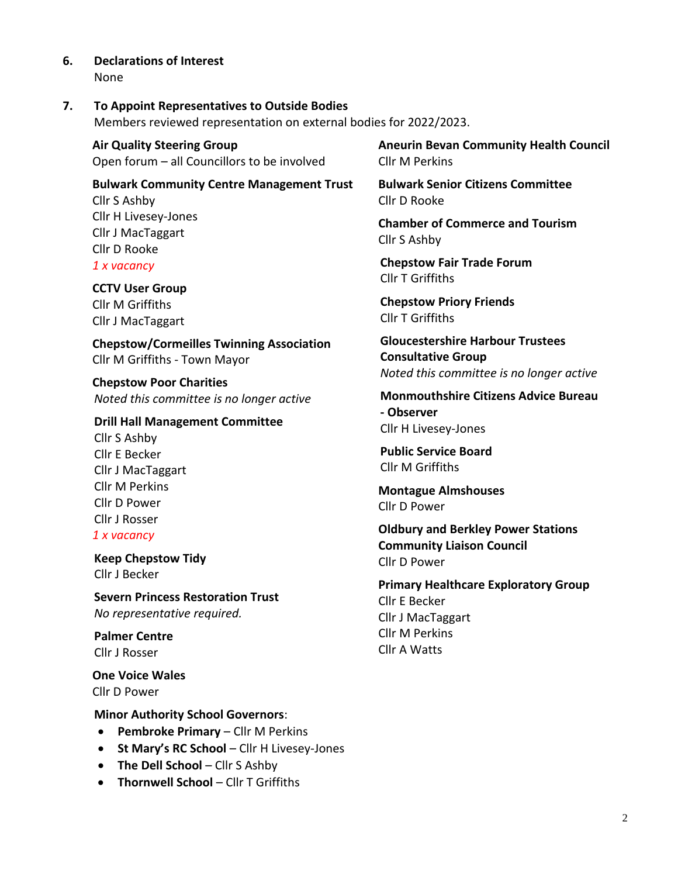**6. Declarations of Interest** None

#### **7. To Appoint Representatives to Outside Bodies**

Members reviewed representation on external bodies for 2022/2023.

**Air Quality Steering Group** Open forum – all Councillors to be involved

**Bulwark Community Centre Management Trust** Cllr S Ashby Cllr H Livesey-Jones Cllr J MacTaggart Cllr D Rooke

*1 x vacancy*

**CCTV User Group** Cllr M Griffiths Cllr J MacTaggart

**Chepstow/Cormeilles Twinning Association** Cllr M Griffiths - Town Mayor

**Chepstow Poor Charities**  *Noted this committee is no longer active*

#### **Drill Hall Management Committee**

Cllr S Ashby Cllr E Becker Cllr J MacTaggart Cllr M Perkins Cllr D Power Cllr J Rosser

# *1 x vacancy*

**Keep Chepstow Tidy** Cllr J Becker

**Severn Princess Restoration Trust** *No representative required.*

**Palmer Centre** Cllr J Rosser

**One Voice Wales** Cllr D Power

#### **Minor Authority School Governors**:

- **Pembroke Primary** Cllr M Perkins
- **St Mary's RC School** Cllr H Livesey-Jones
- **The Dell School** Cllr S Ashby
- **Thornwell School** Cllr T Griffiths

**Aneurin Bevan Community Health Council**  Cllr M Perkins

**Bulwark Senior Citizens Committee** Cllr D Rooke

**Chamber of Commerce and Tourism** Cllr S Ashby

**Chepstow Fair Trade Forum** Cllr T Griffiths

**Chepstow Priory Friends** Cllr T Griffiths

**Gloucestershire Harbour Trustees Consultative Group** *Noted this committee is no longer active*

**Monmouthshire Citizens Advice Bureau - Observer** Cllr H Livesey-Jones

**Public Service Board** Cllr M Griffiths

**Montague Almshouses**  Cllr D Power

**Oldbury and Berkley Power Stations Community Liaison Council** Cllr D Power

**Primary Healthcare Exploratory Group** Cllr E Becker Cllr J MacTaggart Cllr M Perkins Cllr A Watts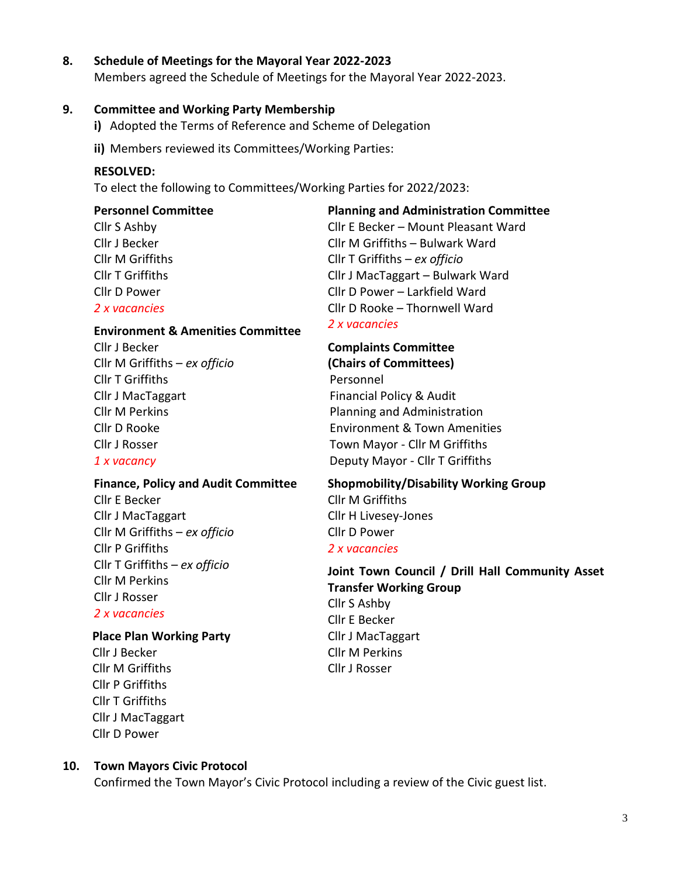#### **8. Schedule of Meetings for the Mayoral Year 2022-2023**

Members agreed the Schedule of Meetings for the Mayoral Year 2022-2023.

#### **9. Committee and Working Party Membership**

- **i)** Adopted the Terms of Reference and Scheme of Delegation
- **ii)** Members reviewed its Committees/Working Parties:

#### **RESOLVED:**

To elect the following to Committees/Working Parties for 2022/2023:

#### **Personnel Committee**

Cllr S Ashby Cllr J Becker Cllr M Griffiths Cllr T Griffiths Cllr D Power *2 x vacancies*

# **Planning and Administration Committee**

Cllr E Becker – Mount Pleasant Ward Cllr M Griffiths – Bulwark Ward Cllr T Griffiths – *ex officio* Cllr J MacTaggart – Bulwark Ward Cllr D Power – Larkfield Ward Cllr D Rooke – Thornwell Ward *2 x vacancies*

#### **Environment & Amenities Committee**

Cllr J Becker Cllr M Griffiths – *ex officio* Cllr T Griffiths Cllr J MacTaggart Cllr M Perkins Cllr D Rooke Cllr J Rosser *1 x vacancy*

# **Complaints Committee (Chairs of Committees)**  Personnel Financial Policy & Audit Planning and Administration Environment & Town Amenities Town Mayor - Cllr M Griffiths Deputy Mayor - Cllr T Griffiths

#### **Finance, Policy and Audit Committee**

Cllr E Becker Cllr J MacTaggart Cllr M Griffiths – *ex officio* Cllr P Griffiths Cllr T Griffiths *– ex officio* Cllr M Perkins Cllr J Rosser

# *2 x vacancies*

#### **Place Plan Working Party**

Cllr J Becker Cllr M Griffiths Cllr P Griffiths Cllr T Griffiths Cllr J MacTaggart Cllr D Power

# **Shopmobility/Disability Working Group** Cllr M Griffiths

Cllr H Livesey-Jones Cllr D Power *2 x vacancies*

# **Joint Town Council / Drill Hall Community Asset Transfer Working Group** Cllr S Ashby Cllr E Becker Cllr J MacTaggart

Cllr M Perkins Cllr J Rosser

#### **10. Town Mayors Civic Protocol**

Confirmed the Town Mayor's Civic Protocol including a review of the Civic guest list.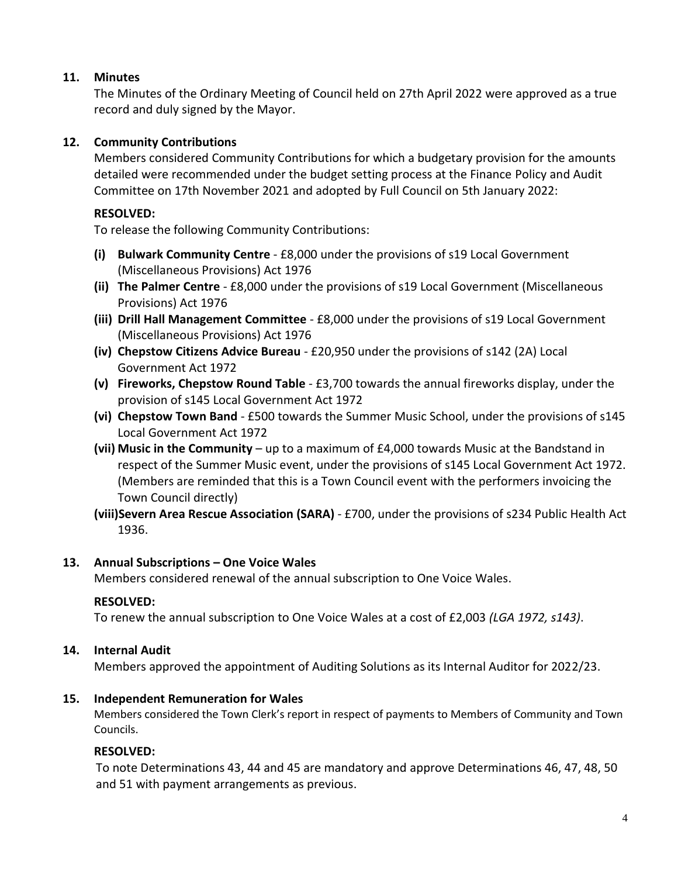## **11. Minutes**

The Minutes of the Ordinary Meeting of Council held on 27th April 2022 were approved as a true record and duly signed by the Mayor.

# **12. Community Contributions**

Members considered Community Contributions for which a budgetary provision for the amounts detailed were recommended under the budget setting process at the Finance Policy and Audit Committee on 17th November 2021 and adopted by Full Council on 5th January 2022:

## **RESOLVED:**

To release the following Community Contributions:

- **(i) Bulwark Community Centre** £8,000 under the provisions of s19 Local Government (Miscellaneous Provisions) Act 1976
- **(ii) The Palmer Centre**  £8,000 under the provisions of s19 Local Government (Miscellaneous Provisions) Act 1976
- **(iii) Drill Hall Management Committee** £8,000 under the provisions of s19 Local Government (Miscellaneous Provisions) Act 1976
- **(iv) Chepstow Citizens Advice Bureau** £20,950 under the provisions of s142 (2A) Local Government Act 1972
- **(v) Fireworks, Chepstow Round Table** £3,700 towards the annual fireworks display, under the provision of s145 Local Government Act 1972
- **(vi) Chepstow Town Band** £500 towards the Summer Music School, under the provisions of s145 Local Government Act 1972
- **(vii) Music in the Community** up to a maximum of £4,000 towards Music at the Bandstand in respect of the Summer Music event, under the provisions of s145 Local Government Act 1972. (Members are reminded that this is a Town Council event with the performers invoicing the Town Council directly)
- **(viii)Severn Area Rescue Association (SARA)** £700, under the provisions of s234 Public Health Act 1936.

# **13. Annual Subscriptions – One Voice Wales**

Members considered renewal of the annual subscription to One Voice Wales.

# **RESOLVED:**

To renew the annual subscription to One Voice Wales at a cost of £2,003 *(LGA 1972, s143)*.

# **14. Internal Audit**

Members approved the appointment of Auditing Solutions as its Internal Auditor for 2022/23.

# **15. Independent Remuneration for Wales**

Members considered the Town Clerk's report in respect of payments to Members of Community and Town Councils.

# **RESOLVED:**

To note Determinations 43, 44 and 45 are mandatory and approve Determinations 46, 47, 48, 50 and 51 with payment arrangements as previous.